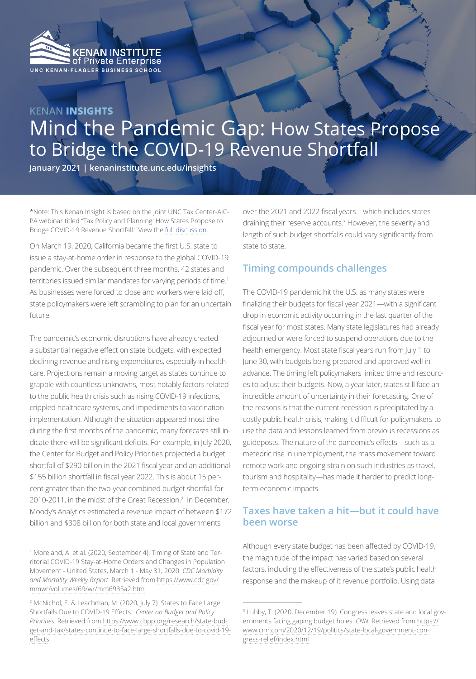

# **KENAN INSIGHTS** Mind the Pandemic Gap: How States Propose to Bridge the COVID-19 Revenue Shortfall

**January 2021 | kenaninstitute.unc.edu/insights**

\*Note: This Kenan Insight is based on the joint UNC Tax Center-AIC-PA webinar titled "Tax Policy and Planning: How States Propose to Bridge COVID-19 Revenue Shortfall." View the [full discussion.](https://tax.unc.edu/index.php/event/tax-policy-and-planning-how-states-propose-to-bridge-covid-19-revenue-shortfall/)

On March 19, 2020, California became the first U.S. state to issue a stay-at-home order in response to the global COVID-19 pandemic. Over the subsequent three months, 42 states and territories issued similar mandates for varying periods of time.<sup>1</sup> As businesses were forced to close and workers were laid off, state policymakers were left scrambling to plan for an uncertain future.

The pandemic's economic disruptions have already created a substantial negative effect on state budgets, with expected declining revenue and rising expenditures, especially in healthcare. Projections remain a moving target as states continue to grapple with countless unknowns, most notably factors related to the public health crisis such as rising COVID-19 infections, crippled healthcare systems, and impediments to vaccination implementation. Although the situation appeared most dire during the first months of the pandemic, many forecasts still indicate there will be significant deficits. For example, in July 2020, the Center for Budget and Policy Priorities projected a budget shortfall of \$290 billion in the 2021 fiscal year and an additional \$155 billion shortfall in fiscal year 2022. This is about 15 percent greater than the two-year combined budget shortfall for 2010-2011, in the midst of the Great Recession.2 In December, Moody's Analytics estimated a revenue impact of between \$172 billion and \$308 billion for both state and local governments

over the 2021 and 2022 fiscal years—which includes states draining their reserve accounts.3 However, the severity and length of such budget shortfalls could vary significantly from state to state.

## **Timing compounds challenges**

The COVID-19 pandemic hit the U.S. as many states were finalizing their budgets for fiscal year 2021—with a significant drop in economic activity occurring in the last quarter of the fiscal year for most states. Many state legislatures had already adjourned or were forced to suspend operations due to the health emergency. Most state fiscal years run from July 1 to June 30, with budgets being prepared and approved well in advance. The timing left policymakers limited time and resources to adjust their budgets. Now, a year later, states still face an incredible amount of uncertainty in their forecasting. One of the reasons is that the current recession is precipitated by a costly public health crisis, making it difficult for policymakers to use the data and lessons learned from previous recessions as guideposts. The nature of the pandemic's effects—such as a meteoric rise in unemployment, the mass movement toward remote work and ongoing strain on such industries as travel, tourism and hospitality—has made it harder to predict longterm economic impacts.

# **Taxes have taken a hit—but it could have been worse**

Although every state budget has been affected by COVID-19, the magnitude of the impact has varied based on several factors, including the effectiveness of the state's public health response and the makeup of it revenue portfolio. Using data

<sup>1</sup> Moreland, A. et al. (2020, September 4). Timing of State and Territorial COVID-19 Stay-at-Home Orders and Changes in Population Movement - United States, March 1 - May 31, 2020. *CDC Morbidity and Mortality Weekly Report*. Retrieved from [https://www.cdc.gov/](https://www.cdc.gov/mmwr/volumes/69/wr/mm6935a2.htm) [mmwr/volumes/69/wr/mm6935a2.htm](https://www.cdc.gov/mmwr/volumes/69/wr/mm6935a2.htm)

<sup>2</sup> McNichol, E. & Leachman, M. (2020, July 7). States to Face Large Shortfalls Due to COVID-19 Effects.. *Center on Budget and Policy Priorities*. Retrieved from [https://www.cbpp.org/research/state-bud](https://www.cbpp.org/research/state-budget-and-tax/states-continue-to-face-large-shortfalls-due-to-covid-19-effects)[get-and-tax/states-continue-to-face-large-shortfalls-due-to-covid-19](https://www.cbpp.org/research/state-budget-and-tax/states-continue-to-face-large-shortfalls-due-to-covid-19-effects) [effects](https://www.cbpp.org/research/state-budget-and-tax/states-continue-to-face-large-shortfalls-due-to-covid-19-effects)

<sup>3</sup> Luhby, T. (2020, December 19). Congress leaves state and local governments facing gaping budget holes. *CNN*. Retrieved from [https://](https://www.cnn.com/2020/12/19/politics/state-local-government-congress-relief/index.html) [www.cnn.com/2020/12/19/politics/state-local-government-con](https://www.cnn.com/2020/12/19/politics/state-local-government-congress-relief/index.html)[gress-relief/index.html](https://www.cnn.com/2020/12/19/politics/state-local-government-congress-relief/index.html)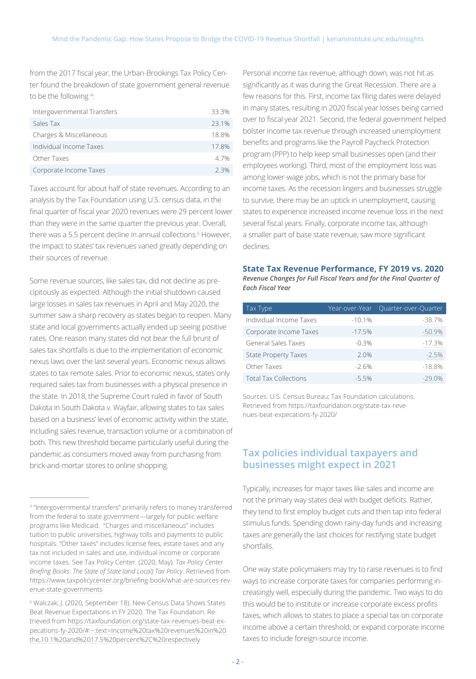from the 2017 fiscal year, the Urban-Brookings Tax Policy Center found the breakdown of state government general revenue to be the following 4:

| Intergovernmental Transfers | 333%    |
|-----------------------------|---------|
| Sales Tax                   | 231%    |
| Charges & Miscellaneous     | 188%    |
| Individual Income Taxes     | 178%    |
| Other Taxes                 | 47%     |
| Corporate Income Taxes      | $2.3\%$ |

Taxes account for about half of state revenues. According to an analysis by the Tax Foundation using U.S. census data, in the final quarter of fiscal year 2020 revenues were 29 percent lower than they were in the same quarter the previous year. Overall, there was a 5.5 percent decline in annual collections.5 However, the impact to states' tax revenues varied greatly depending on their sources of revenue.

Some revenue sources, like sales tax, did not decline as precipitously as expected. Although the initial shutdown caused large losses in sales tax revenues in April and May 2020, the summer saw a sharp recovery as states began to reopen. Many state and local governments actually ended up seeing positive rates. One reason many states did not bear the full brunt of sales tax shortfalls is due to the implementation of economic nexus laws over the last several years. Economic nexus allows states to tax remote sales. Prior to economic nexus, states only required sales tax from businesses with a physical presence in the state. In 2018, the Supreme Court ruled in favor of South Dakota in South Dakota v. Wayfair, allowing states to tax sales based on a business' level of economic activity within the state, including sales revenue, transaction volume or a combination of both. This new threshold became particularly useful during the pandemic as consumers moved away from purchasing from brick-and-mortar stores to online shopping.

Personal income tax revenue, although down, was not hit as significantly as it was during the Great Recession. There are a few reasons for this. First, income tax filing dates were delayed in many states, resulting in 2020 fiscal year losses being carried over to fiscal year 2021. Second, the federal government helped bolster income tax revenue through increased unemployment benefits and programs like the Payroll Paycheck Protection program (PPP) to help keep small businesses open (and their employees working). Third, most of the employment loss was among lower-wage jobs, which is not the primary base for income taxes. As the recession lingers and businesses struggle to survive, there may be an uptick in unemployment, causing states to experience increased income revenue loss in the next several fiscal years. Finally, corporate income tax, although a smaller part of base state revenue, saw more significant declines.

#### **State Tax Revenue Performance, FY 2019 vs. 2020** *Revenue Changes for Full Fiscal Years and for the Final Quarter of Each Fiscal Year*

| Tax Type                     | Year-over-Year | Quarter-over-Quarter |
|------------------------------|----------------|----------------------|
| Individual Income Taxes      | $-10.1%$       | $-38.7%$             |
| Corporate Income Taxes       | $-17.5%$       | $-50.9%$             |
| <b>General Sales Taxes</b>   | $-0.3%$        | $-17.3%$             |
| <b>State Property Taxes</b>  | 2.0%           | $-2.5%$              |
| Other Taxes                  | $-2.6%$        | $-18.8%$             |
| <b>Total Tax Collections</b> | $-5.5%$        | $-29.0%$             |

Sources: U.S. Census Bureau; Tax Foundation calculations. Retrieved from https://taxfoundation.org/state-tax-revenues-beat-expecations-fy-2020/

## **Tax policies individual taxpayers and businesses might expect in 2021**

Typically, increases for major taxes like sales and income are not the primary way states deal with budget deficits. Rather, they tend to first employ budget cuts and then tap into federal stimulus funds. Spending down rainy-day funds and increasing taxes are generally the last choices for rectifying state budget shortfalls.

One way state policymakers may try to raise revenues is to find ways to increase corporate taxes for companies performing increasingly well, especially during the pandemic. Two ways to do this would be to institute or increase corporate excess profits taxes, which allows to states to place a special tax on corporate income above a certain threshold; or expand corporate income taxes to include foreign-source income.

<sup>4</sup> "Intergovernmental transfers" primarily refers to money transferred from the federal to state government—largely for public welfare programs like Medicaid. "Charges and miscellaneous" includes tuition to public universities, highway tolls and payments to public hospitals. "Other taxes" includes license fees, estate taxes and any tax not included in sales and use, individual income or corporate income taxes. See Tax Policy Center. (2020, May). *Tax Policy Center Briefing Books: The State of State (and Local) Tax Policy*. Retrieved from [https://www.taxpolicycenter.org/briefing-book/what-are-sources-rev](https://www.taxpolicycenter.org/briefing-book/what-are-sources-revenue-state-governments)[enue-state-governments](https://www.taxpolicycenter.org/briefing-book/what-are-sources-revenue-state-governments)

<sup>5</sup> Walczak, J. (2020, September 18). New Census Data Shows States Beat Revenue Expectations in FY 2020. The Tax Foundation. Retrieved from [https://taxfoundation.org/state-tax-revenues-beat-ex](https://taxfoundation.org/state-tax-revenues-beat-expecations-fy-2020/#:~:text=Income%20tax%20revenues%20in%20the,10.1%20and%2017.5%20percent%2C%20respectively)[pecations-fy-2020/#:~:text=Income%20tax%20revenues%20in%20](https://taxfoundation.org/state-tax-revenues-beat-expecations-fy-2020/#:~:text=Income%20tax%20revenues%20in%20the,10.1%20and%2017.5%20percent%2C%20respectively) [the,10.1%20and%2017.5%20percent%2C%20respectively](https://taxfoundation.org/state-tax-revenues-beat-expecations-fy-2020/#:~:text=Income%20tax%20revenues%20in%20the,10.1%20and%2017.5%20percent%2C%20respectively)